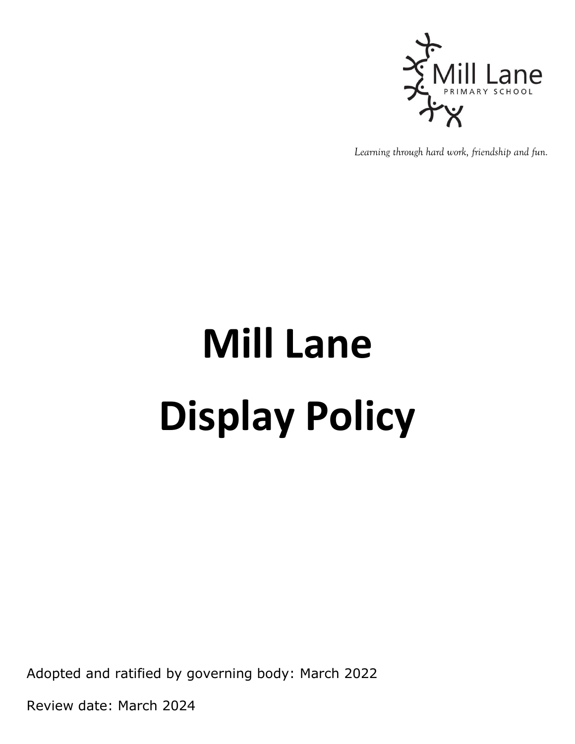

*Learning through hard work, friendship and fun.*

# **Mill Lane Display Policy**

Adopted and ratified by governing body: March 2022

Review date: March 2024